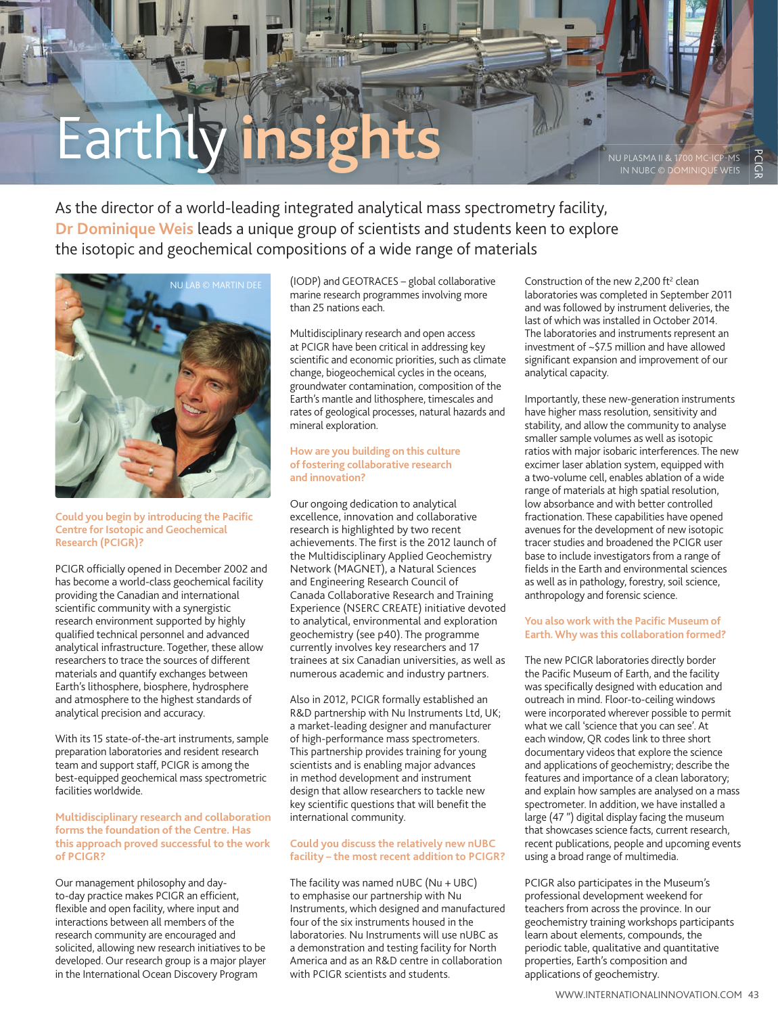# Earthly insights

As the director of a world-leading integrated analytical mass spectrometry facility, **Dr Dominique Weis** leads a unique group of scientists and students keen to explore the isotopic and geochemical compositions of a wide range of materials



**Could you begin by introducing the Pacific Centre for Isotopic and Geochemical Research (PCIGR)?**

PCIGR officially opened in December 2002 and has become a world-class geochemical facility providing the Canadian and international scientific community with a synergistic research environment supported by highly qualified technical personnel and advanced analytical infrastructure. Together, these allow researchers to trace the sources of different materials and quantify exchanges between Earth's lithosphere, biosphere, hydrosphere and atmosphere to the highest standards of analytical precision and accuracy.

With its 15 state-of-the-art instruments, sample preparation laboratories and resident research team and support staff, PCIGR is among the best-equipped geochemical mass spectrometric facilities worldwide.

#### **Multidisciplinary research and collaboration forms the foundation of the Centre. Has this approach proved successful to the work of PCIGR?**

Our management philosophy and dayto-day practice makes PCIGR an efficient, flexible and open facility, where input and interactions between all members of the research community are encouraged and solicited, allowing new research initiatives to be developed. Our research group is a major player in the International Ocean Discovery Program

(IODP) and GEOTRACES – global collaborative marine research programmes involving more than 25 nations each.

Multidisciplinary research and open access at PCIGR have been critical in addressing key scientific and economic priorities, such as climate change, biogeochemical cycles in the oceans, groundwater contamination, composition of the Earth's mantle and lithosphere, timescales and rates of geological processes, natural hazards and mineral exploration.

#### **How are you building on this culture of fostering collaborative research and innovation?**

Our ongoing dedication to analytical excellence, innovation and collaborative research is highlighted by two recent achievements. The first is the 2012 launch of the Multidisciplinary Applied Geochemistry Network (MAGNET), a Natural Sciences and Engineering Research Council of Canada Collaborative Research and Training Experience (NSERC CREATE) initiative devoted to analytical, environmental and exploration geochemistry (see p40). The programme currently involves key researchers and 17 trainees at six Canadian universities, as well as numerous academic and industry partners.

Also in 2012, PCIGR formally established an R&D partnership with Nu Instruments Ltd, UK; a market-leading designer and manufacturer of high-performance mass spectrometers. This partnership provides training for young scientists and is enabling major advances in method development and instrument design that allow researchers to tackle new key scientific questions that will benefit the international community.

#### **Could you discuss the relatively new nUBC facility – the most recent addition to PCIGR?**

The facility was named nUBC (Nu + UBC) to emphasise our partnership with Nu Instruments, which designed and manufactured four of the six instruments housed in the laboratories. Nu Instruments will use nUBC as a demonstration and testing facility for North America and as an R&D centre in collaboration with PCIGR scientists and students.

Construction of the new 2,200 ft<sup>2</sup> clean laboratories was completed in September 2011 and was followed by instrument deliveries, the last of which was installed in October 2014. The laboratories and instruments represent an investment of ~\$7.5 million and have allowed significant expansion and improvement of our analytical capacity.

IN NUBC © DOMINIQUE WEIS

PCIGR

Importantly, these new-generation instruments have higher mass resolution, sensitivity and stability, and allow the community to analyse smaller sample volumes as well as isotopic ratios with major isobaric interferences. The new excimer laser ablation system, equipped with a two-volume cell, enables ablation of a wide range of materials at high spatial resolution, low absorbance and with better controlled fractionation. These capabilities have opened avenues for the development of new isotopic tracer studies and broadened the PCIGR user base to include investigators from a range of fields in the Earth and environmental sciences as well as in pathology, forestry, soil science, anthropology and forensic science.

#### **You also work with the Pacific Museum of Earth. Why was this collaboration formed?**

The new PCIGR laboratories directly border the Pacific Museum of Earth, and the facility was specifically designed with education and outreach in mind. Floor-to-ceiling windows were incorporated wherever possible to permit what we call 'science that you can see'. At each window, QR codes link to three short documentary videos that explore the science and applications of geochemistry; describe the features and importance of a clean laboratory; and explain how samples are analysed on a mass spectrometer. In addition, we have installed a large (47 ") digital display facing the museum that showcases science facts, current research, recent publications, people and upcoming events using a broad range of multimedia.

PCIGR also participates in the Museum's professional development weekend for teachers from across the province. In our geochemistry training workshops participants learn about elements, compounds, the periodic table, qualitative and quantitative properties, Earth's composition and applications of geochemistry.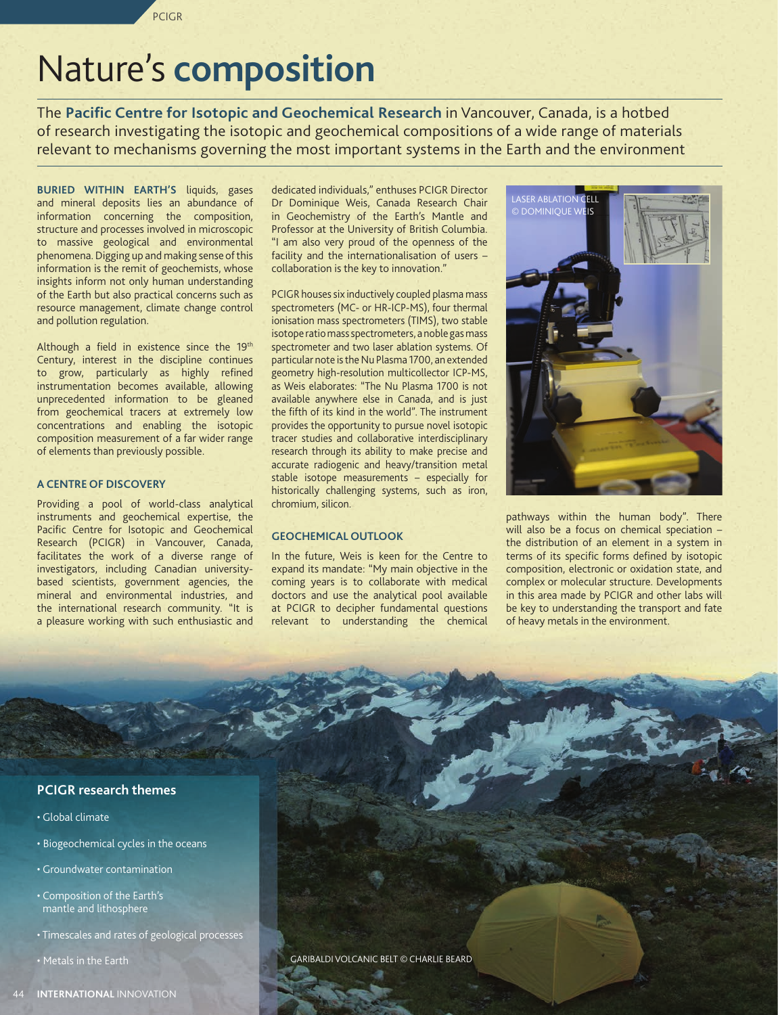## Nature's **composition**

PCIGR

The **Pacific Centre for Isotopic and Geochemical Research** in Vancouver, Canada, is a hotbed of research investigating the isotopic and geochemical compositions of a wide range of materials relevant to mechanisms governing the most important systems in the Earth and the environment

**BURIED WITHIN EARTH'S** liquids, gases and mineral deposits lies an abundance of information concerning the composition, structure and processes involved in microscopic to massive geological and environmental phenomena. Digging up and making sense of this information is the remit of geochemists, whose insights inform not only human understanding of the Earth but also practical concerns such as resource management, climate change control and pollution regulation.

Although a field in existence since the 19th Century, interest in the discipline continues to grow, particularly as highly refined instrumentation becomes available, allowing unprecedented information to be gleaned from geochemical tracers at extremely low concentrations and enabling the isotopic composition measurement of a far wider range of elements than previously possible.

#### **A CENTRE OF DISCOVERY**

Providing a pool of world-class analytical instruments and geochemical expertise, the Pacific Centre for Isotopic and Geochemical Research (PCIGR) in Vancouver, Canada, facilitates the work of a diverse range of investigators, including Canadian universitybased scientists, government agencies, the mineral and environmental industries, and the international research community. "It is a pleasure working with such enthusiastic and

dedicated individuals," enthuses PCIGR Director Dr Dominique Weis, Canada Research Chair in Geochemistry of the Earth's Mantle and Professor at the University of British Columbia. "I am also very proud of the openness of the facility and the internationalisation of users – collaboration is the key to innovation."

PCIGR houses six inductively coupled plasma mass spectrometers (MC- or HR-ICP-MS), four thermal ionisation mass spectrometers (TIMS), two stable isotope ratio mass spectrometers, a noble gas mass spectrometer and two laser ablation systems. Of particular note is the Nu Plasma 1700, an extended geometry high-resolution multicollector ICP-MS, as Weis elaborates: "The Nu Plasma 1700 is not available anywhere else in Canada, and is just the fifth of its kind in the world". The instrument provides the opportunity to pursue novel isotopic tracer studies and collaborative interdisciplinary research through its ability to make precise and accurate radiogenic and heavy/transition metal stable isotope measurements – especially for historically challenging systems, such as iron, chromium, silicon.

#### **GEOCHEMICAL OUTLOOK**

In the future, Weis is keen for the Centre to expand its mandate: "My main objective in the coming years is to collaborate with medical doctors and use the analytical pool available at PCIGR to decipher fundamental questions relevant to understanding the chemical



pathways within the human body". There will also be a focus on chemical speciation the distribution of an element in a system in terms of its specific forms defined by isotopic composition, electronic or oxidation state, and complex or molecular structure. Developments in this area made by PCIGR and other labs will be key to understanding the transport and fate of heavy metals in the environment.

#### **PCIGR research themes**

- Global climate
- Biogeochemical cycles in the oceans
- Groundwater contamination
- Composition of the Earth's mantle and lithosphere
- Timescales and rates of geological processes
- Metals in the Earth

GARIBALDI VOLCANIC BELT © CHARLIE BEARD